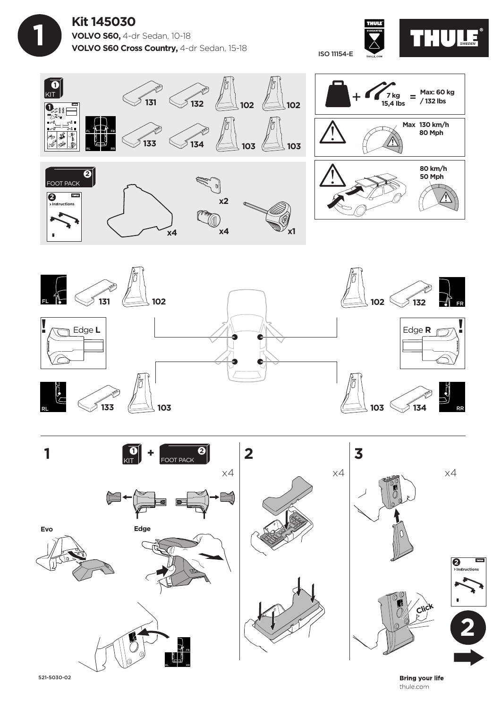









521-5030-02

**Bring your life** thule.com